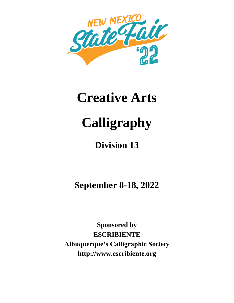

# **Creative Arts**

# **Calligraphy**

# **Division 13**

**September 8-18, 2022**

**Sponsored by ESCRIBIENTE Albuquerque's Calligraphic Society http://www.escribiente.org**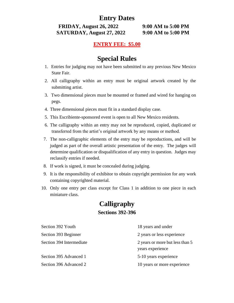# **Entry Dates**

**FRIDAY, August 26, 2022 9:00 AM to 5:00 PM SATURDAY, August 27, 2022 9:00 AM to 5:00 PM**

## **ENTRY FEE: \$5.00**

# **Special Rules**

- 1. Entries for judging may not have been submitted to any previous New Mexico State Fair.
- 2. All calligraphy within an entry must be original artwork created by the submitting artist.
- 3. Two dimensional pieces must be mounted or framed and wired for hanging on pegs.
- 4. Three dimensional pieces must fit in a standard display case.
- 5. This Escribiente-sponsored event is open to all New Mexico residents.
- 6. The calligraphy within an entry may not be reproduced, copied, duplicated or transferred from the artist's original artwork by any means or method.
- 7. The non-calligraphic elements of the entry may be reproductions, and will be judged as part of the overall artistic presentation of the entry. The judges will determine qualification or disqualification of any entry in question. Judges may reclassify entries if needed.
- 8. If work is signed, it must be concealed during judging.
- 9. It is the responsibility of exhibitor to obtain copyright permission for any work containing copyrighted material.
- 10. Only one entry per class except for Class 1 in addition to one piece in each miniature class.

# **Calligraphy**

### **Sections 392-396**

| Section 392 Youth        | 18 years and under                                  |
|--------------------------|-----------------------------------------------------|
| Section 393 Beginner     | 2 years or less experience                          |
| Section 394 Intermediate | 2 years or more but less than 5<br>years experience |
| Section 395 Advanced 1   | 5-10 years experience                               |
| Section 396 Advanced 2   | 10 years or more experience                         |